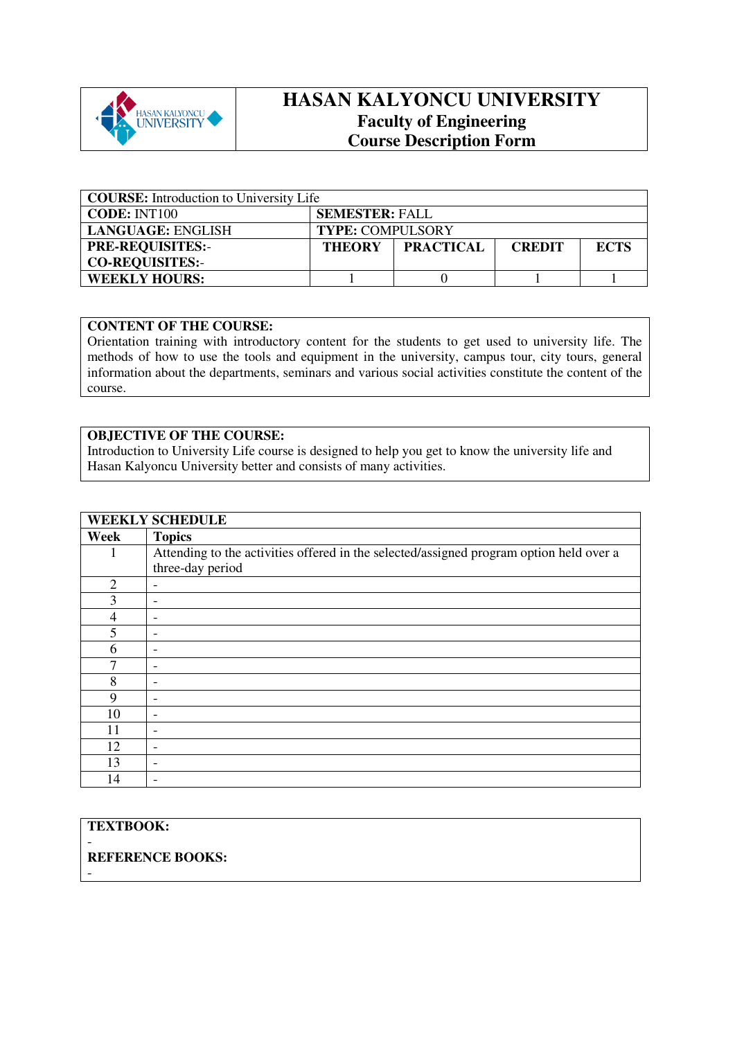

# **HASAN KALYONCU UNIVERSITY Faculty of Engineering Course Description Form**

| <b>COURSE:</b> Introduction to University Life |                                                                   |  |  |  |  |  |  |
|------------------------------------------------|-------------------------------------------------------------------|--|--|--|--|--|--|
| <b>CODE: INT100</b>                            | <b>SEMESTER: FALL</b>                                             |  |  |  |  |  |  |
| <b>LANGUAGE: ENGLISH</b>                       | <b>TYPE: COMPULSORY</b>                                           |  |  |  |  |  |  |
| <b>PRE-REQUISITES:-</b>                        | <b>PRACTICAL</b><br><b>ECTS</b><br><b>THEORY</b><br><b>CREDIT</b> |  |  |  |  |  |  |
| <b>CO-REQUISITES:-</b>                         |                                                                   |  |  |  |  |  |  |
| <b>WEEKLY HOURS:</b>                           |                                                                   |  |  |  |  |  |  |

#### **CONTENT OF THE COURSE:**

Orientation training with introductory content for the students to get used to university life. The methods of how to use the tools and equipment in the university, campus tour, city tours, general information about the departments, seminars and various social activities constitute the content of the course.

#### **OBJECTIVE OF THE COURSE:**

Introduction to University Life course is designed to help you get to know the university life and Hasan Kalyoncu University better and consists of many activities.

|                         | <b>WEEKLY SCHEDULE</b>                                                                  |
|-------------------------|-----------------------------------------------------------------------------------------|
| Week                    | <b>Topics</b>                                                                           |
|                         | Attending to the activities offered in the selected/assigned program option held over a |
|                         | three-day period                                                                        |
| $\overline{2}$          | -                                                                                       |
| 3                       |                                                                                         |
| 4                       |                                                                                         |
| $\overline{\mathbf{5}}$ |                                                                                         |
| 6                       |                                                                                         |
| 7                       |                                                                                         |
| 8                       |                                                                                         |
| 9                       |                                                                                         |
| 10                      |                                                                                         |
| 11                      |                                                                                         |
| 12                      | $\overline{\phantom{a}}$                                                                |
| 13                      |                                                                                         |
| 14                      |                                                                                         |

### **TEXTBOOK:**

-

-

## **REFERENCE BOOKS:**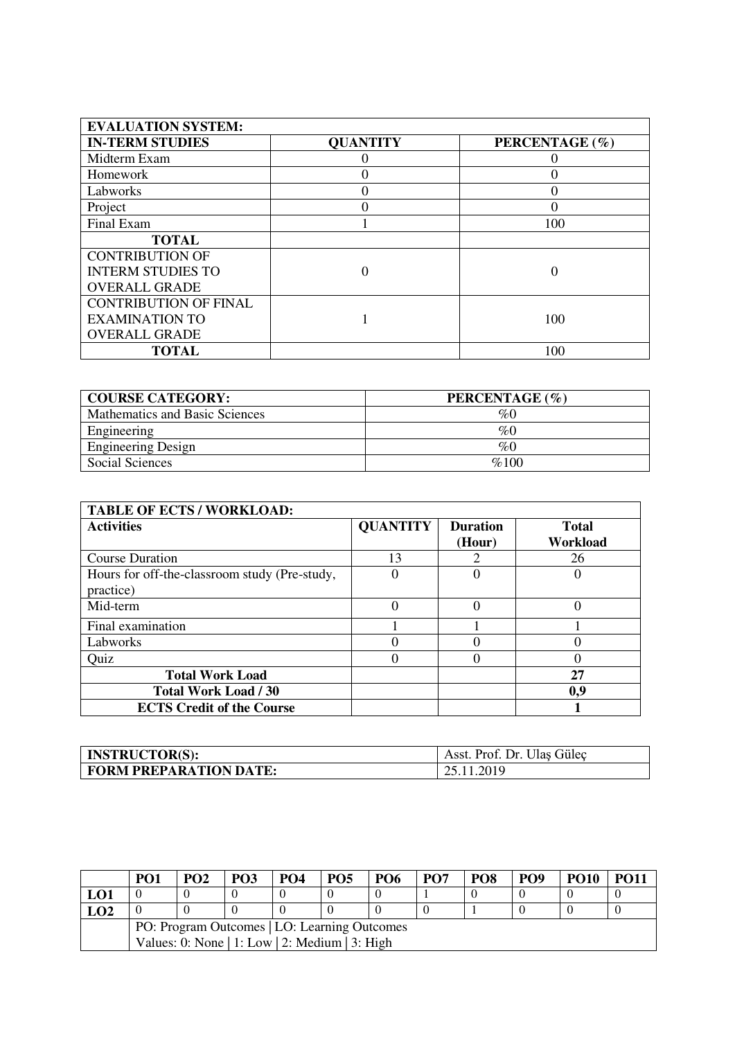| <b>EVALUATION SYSTEM:</b>    |                 |                |
|------------------------------|-----------------|----------------|
| <b>IN-TERM STUDIES</b>       | <b>QUANTITY</b> | PERCENTAGE (%) |
| Midterm Exam                 |                 |                |
| Homework                     |                 |                |
| Labworks                     |                 | 0              |
| Project                      |                 |                |
| Final Exam                   |                 | 100            |
| <b>TOTAL</b>                 |                 |                |
| <b>CONTRIBUTION OF</b>       |                 |                |
| <b>INTERM STUDIES TO</b>     |                 |                |
| <b>OVERALL GRADE</b>         |                 |                |
| <b>CONTRIBUTION OF FINAL</b> |                 |                |
| <b>EXAMINATION TO</b>        |                 | 100            |
| <b>OVERALL GRADE</b>         |                 |                |
| <b>TOTAL</b>                 |                 | 100            |

| <b>COURSE CATEGORY:</b>        | PERCENTAGE (%) |
|--------------------------------|----------------|
| Mathematics and Basic Sciences | %0             |
| Engineering                    | %C             |
| <b>Engineering Design</b>      | %0             |
| Social Sciences                | %100           |

| <b>TABLE OF ECTS / WORKLOAD:</b>              |                 |                 |              |  |  |  |  |
|-----------------------------------------------|-----------------|-----------------|--------------|--|--|--|--|
| <b>Activities</b>                             | <b>QUANTITY</b> | <b>Duration</b> | <b>Total</b> |  |  |  |  |
|                                               |                 | (Hour)          | Workload     |  |  |  |  |
| <b>Course Duration</b>                        | 13              |                 | 26           |  |  |  |  |
| Hours for off-the-classroom study (Pre-study, |                 |                 |              |  |  |  |  |
| practice)                                     |                 |                 |              |  |  |  |  |
| Mid-term                                      | $\Omega$        |                 | 0            |  |  |  |  |
| Final examination                             |                 |                 |              |  |  |  |  |
| Labworks                                      |                 |                 |              |  |  |  |  |
| Quiz                                          |                 |                 |              |  |  |  |  |
| <b>Total Work Load</b>                        |                 |                 | 27           |  |  |  |  |
| <b>Total Work Load / 30</b>                   |                 |                 | 0,9          |  |  |  |  |
| <b>ECTS Credit of the Course</b>              |                 |                 |              |  |  |  |  |

| <b>INSTRUCTOR(S):</b>         | Asst. Prof. Dr. Ulas Gülec |
|-------------------------------|----------------------------|
| <b>FORM PREPARATION DATE:</b> | 25.11.2019                 |

|                                              | PO1                                            | PO <sub>2</sub> | <b>PO3</b> | PO <sub>4</sub> | PO <sub>5</sub> | PO <sub>6</sub> | PO <sub>7</sub> | PO <sub>8</sub> | PO <sub>9</sub> | <b>PO10</b> | <b>PO11</b> |
|----------------------------------------------|------------------------------------------------|-----------------|------------|-----------------|-----------------|-----------------|-----------------|-----------------|-----------------|-------------|-------------|
| LO1                                          |                                                |                 |            |                 |                 |                 |                 |                 |                 |             |             |
| LO <sub>2</sub>                              |                                                |                 |            |                 |                 |                 |                 |                 |                 |             |             |
| PO: Program Outcomes   LO: Learning Outcomes |                                                |                 |            |                 |                 |                 |                 |                 |                 |             |             |
|                                              | Values: 0: None   1: Low   2: Medium   3: High |                 |            |                 |                 |                 |                 |                 |                 |             |             |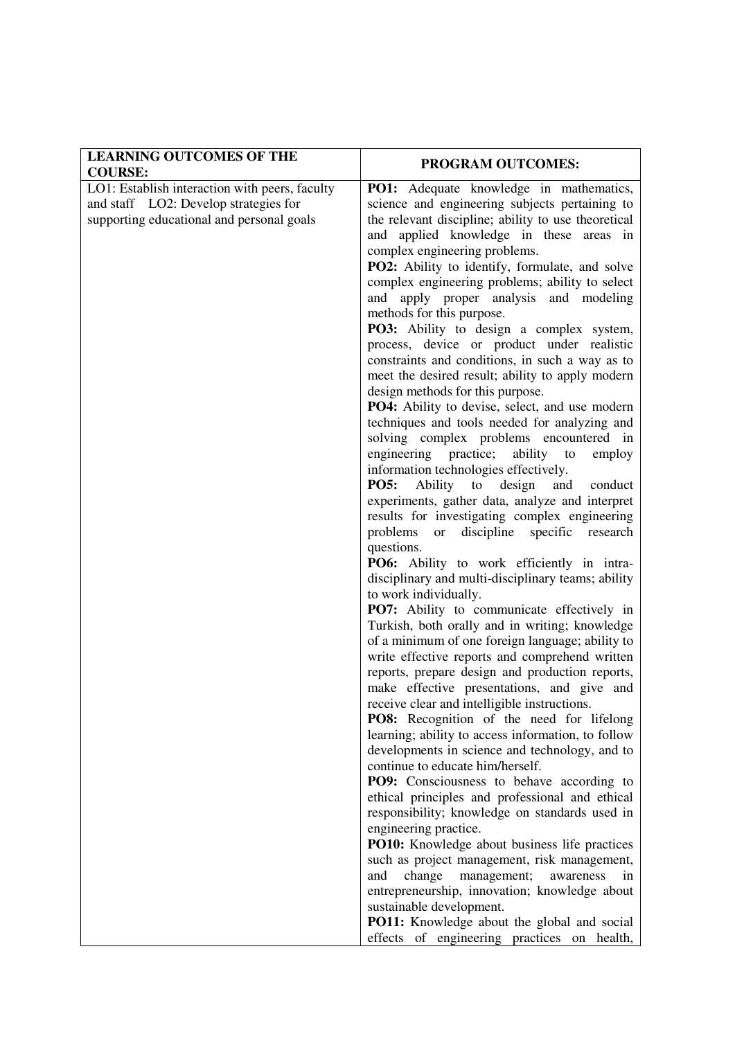| <b>LEARNING OUTCOMES OF THE</b>                                                         | <b>PROGRAM OUTCOMES:</b>                                                                          |  |  |  |  |
|-----------------------------------------------------------------------------------------|---------------------------------------------------------------------------------------------------|--|--|--|--|
| <b>COURSE:</b>                                                                          |                                                                                                   |  |  |  |  |
| LO1: Establish interaction with peers, faculty<br>and staff LO2: Develop strategies for | <b>PO1:</b> Adequate knowledge in mathematics,<br>science and engineering subjects pertaining to  |  |  |  |  |
| supporting educational and personal goals                                               | the relevant discipline; ability to use theoretical                                               |  |  |  |  |
|                                                                                         | and applied knowledge in these areas in                                                           |  |  |  |  |
|                                                                                         | complex engineering problems.                                                                     |  |  |  |  |
|                                                                                         | <b>PO2:</b> Ability to identify, formulate, and solve                                             |  |  |  |  |
|                                                                                         | complex engineering problems; ability to select                                                   |  |  |  |  |
|                                                                                         | and apply proper analysis and modeling<br>methods for this purpose.                               |  |  |  |  |
|                                                                                         | PO3: Ability to design a complex system,                                                          |  |  |  |  |
|                                                                                         | process, device or product under realistic                                                        |  |  |  |  |
|                                                                                         | constraints and conditions, in such a way as to                                                   |  |  |  |  |
|                                                                                         | meet the desired result; ability to apply modern                                                  |  |  |  |  |
|                                                                                         | design methods for this purpose.                                                                  |  |  |  |  |
|                                                                                         | PO4: Ability to devise, select, and use modern                                                    |  |  |  |  |
|                                                                                         | techniques and tools needed for analyzing and                                                     |  |  |  |  |
|                                                                                         | solving complex problems encountered in                                                           |  |  |  |  |
|                                                                                         | engineering practice;<br>ability to<br>employ<br>information technologies effectively.            |  |  |  |  |
|                                                                                         | <b>PO5:</b><br>Ability to design<br>and<br>conduct                                                |  |  |  |  |
|                                                                                         | experiments, gather data, analyze and interpret                                                   |  |  |  |  |
|                                                                                         | results for investigating complex engineering                                                     |  |  |  |  |
|                                                                                         | discipline specific<br>problems<br>research<br>or                                                 |  |  |  |  |
|                                                                                         | questions.                                                                                        |  |  |  |  |
|                                                                                         | PO6: Ability to work efficiently in intra-                                                        |  |  |  |  |
|                                                                                         | disciplinary and multi-disciplinary teams; ability                                                |  |  |  |  |
|                                                                                         | to work individually.                                                                             |  |  |  |  |
|                                                                                         | PO7: Ability to communicate effectively in<br>Turkish, both orally and in writing; knowledge      |  |  |  |  |
|                                                                                         | of a minimum of one foreign language; ability to                                                  |  |  |  |  |
|                                                                                         | write effective reports and comprehend written                                                    |  |  |  |  |
|                                                                                         | reports, prepare design and production reports,                                                   |  |  |  |  |
|                                                                                         | make effective presentations, and give and                                                        |  |  |  |  |
|                                                                                         | receive clear and intelligible instructions.                                                      |  |  |  |  |
|                                                                                         | <b>PO8:</b> Recognition of the need for lifelong                                                  |  |  |  |  |
|                                                                                         | learning; ability to access information, to follow                                                |  |  |  |  |
|                                                                                         | developments in science and technology, and to                                                    |  |  |  |  |
|                                                                                         | continue to educate him/herself.<br><b>PO9:</b> Consciousness to behave according to              |  |  |  |  |
|                                                                                         | ethical principles and professional and ethical                                                   |  |  |  |  |
|                                                                                         | responsibility; knowledge on standards used in                                                    |  |  |  |  |
|                                                                                         | engineering practice.                                                                             |  |  |  |  |
|                                                                                         | PO10: Knowledge about business life practices                                                     |  |  |  |  |
|                                                                                         | such as project management, risk management,                                                      |  |  |  |  |
|                                                                                         | change<br>management;<br>and<br>awareness<br>in                                                   |  |  |  |  |
|                                                                                         | entrepreneurship, innovation; knowledge about                                                     |  |  |  |  |
|                                                                                         | sustainable development.                                                                          |  |  |  |  |
|                                                                                         | <b>PO11:</b> Knowledge about the global and social<br>effects of engineering practices on health, |  |  |  |  |